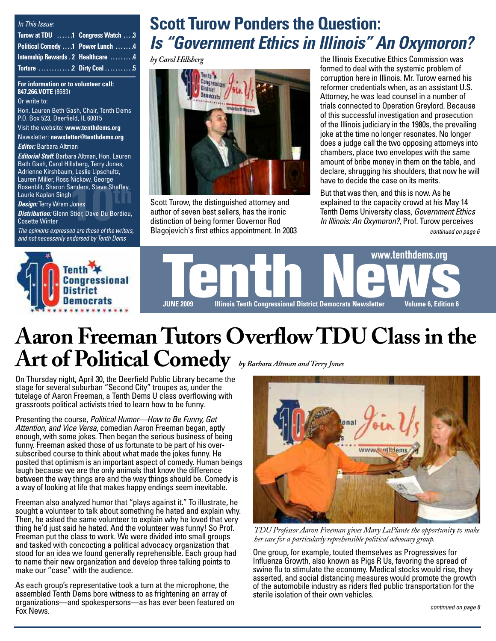| In This Issue:                      |  |
|-------------------------------------|--|
| Turow at TDU 1 Congress Watch 3     |  |
| Political Comedy  T Power Lunch  4  |  |
| Internship Rewards . 2 Healthcare 4 |  |
|                                     |  |

#### **For information or to volunteer call: 847.266.VOTE** (8683)

Or write to:

Hon. Lauren Beth Gash, Chair, Tenth Dems P.O. Box 523, Deerfield, IL 60015

Visit the website: **[www.tenthdems.org](http://www.tenthdems.org)**  Newsletter: **[newsletter@tenthdems.org](mailto:newsletter@tenthdems.org)**

*Editor:* Barbara Altman

Rosenblit, Sharon Sanders, Steve Sheffey,<br>Laurie Kaplan Singh<br>*Design:* Terry Wrem Jones *Editorial Staff*: Barbara Altman, Hon. Lauren Beth Gash, Carol Hillsberg, Terry Jones, Adrienne Kirshbaum, Leslie Lipschultz, Lauren Miller, Ross Nickow, George Laurie Kaplan Singh

*Design:* Terry Wrem Jones

*Distribution:* Glenn Stier, Dave Du Bordieu, Cosette Winter

*The opinions expressed are those of the writers, and not necessarily endorsed by Tenth Dems*

## **Scott Turow Ponders the Question:**  *Is "Government Ethics in Illinois" An Oxymoron?*

*by Carol Hillsberg*



Scott Turow, the distinguished attorney and author of seven best sellers, has the ironic distinction of being former Governor Rod Blagojevich's first ethics appointment. In 2003 the Illinois Executive Ethics Commission was formed to deal with the systemic problem of corruption here in Illinois. Mr. Turow earned his reformer credentials when, as an assistant U.S. Attorney, he was lead counsel in a number of trials connected to Operation Greylord. Because of this successful investigation and prosecution of the Illinois judiciary in the 1980s, the prevailing joke at the time no longer resonates. No longer does a judge call the two opposing attorneys into chambers, place two envelopes with the same amount of bribe money in them on the table, and declare, shrugging his shoulders, that now he will have to decide the case on its merits.

But that was then, and this is now. As he explained to the capacity crowd at his May 14 Tenders, Steve Sheffey,<br>
Jones<br>
Scott Turow, the distinguished attorney and<br>
Stier, Dave Du Bordieu,<br>
Stier, Dave Du Bordieu,<br>
author of seven best sellers, has the ironic<br>
distinction of being former Governor Rod<br>
Depende

*continued on page 6*



# **Aaron Freeman Tutors Overflow TDU Class in the Art of Political Comedy** *by Barbara Altman and Terry Jones*

On Thursday night, April 30, the Deerfield Public Library became the stage for several suburban "Second City" troupes as, under the tutelage of Aaron Freeman, a Tenth Dems U class overflowing with grassroots political activists tried to learn how to be funny.

Presenting the course, *Political Humor—How to Be Funny, Get Attention, and Vice Versa*, comedian Aaron Freeman began, aptly enough, with some jokes. Then began the serious business of being funny. Freeman asked those of us fortunate to be part of his oversubscribed course to think about what made the jokes funny. He posited that optimism is an important aspect of comedy. Human beings laugh because we are the only animals that know the difference between the way things are and the way things should be. Comedy is a way of looking at life that makes happy endings seem inevitable.

Freeman also analyzed humor that "plays against it." To illustrate, he sought a volunteer to talk about something he hated and explain why. Then, he asked the same volunteer to explain why he loved that very thing he'd just said he hated. And the volunteer was funny! So Prof. Freeman put the class to work. We were divided into small groups and tasked with concocting a political advocacy organization that stood for an idea we found generally reprehensible. Each group had to name their new organization and develop three talking points to make our "case" with the audience.

As each group's representative took a turn at the microphone, the assembled Tenth Dems bore witness to as frightening an array of organizations—and spokespersons—as has ever been featured on Fox News.



*TDU Professor Aaron Freeman gives Mary LaPlante the opportunity to make her case for a particularly reprehensible political advocacy group.*

One group, for example, touted themselves as Progressives for Influenza Growth, also known as Pigs R Us, favoring the spread of swine flu to stimulate the economy. Medical stocks would rise, they asserted, and social distancing measures would promote the growth of the automobile industry as riders fled public transportation for the sterile isolation of their own vehicles.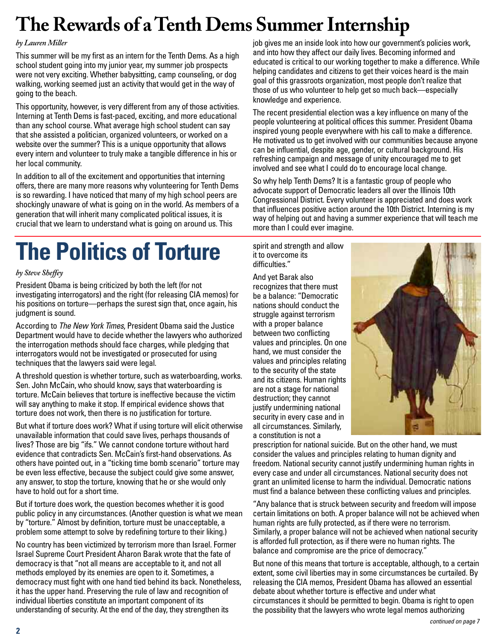# **The Rewards of a Tenth Dems Summer Internship**

#### *by Lauren Miller*

This summer will be my first as an intern for the Tenth Dems. As a high school student going into my junior year, my summer job prospects were not very exciting. Whether babysitting, camp counseling, or dog walking, working seemed just an activity that would get in the way of going to the beach.

This opportunity, however, is very different from any of those activities. Interning at Tenth Dems is fast-paced, exciting, and more educational than any school course. What average high school student can say that she assisted a politician, organized volunteers, or worked on a website over the summer? This is a unique opportunity that allows every intern and volunteer to truly make a tangible difference in his or her local community.

In addition to all of the excitement and opportunities that interning offers, there are many more reasons why volunteering for Tenth Dems is so rewarding. I have noticed that many of my high school peers are shockingly unaware of what is going on in the world. As members of a generation that will inherit many complicated political issues, it is crucial that we learn to understand what is going on around us. This

# **The Politics of Torture**

#### *by Steve Sheffey*

President Obama is being criticized by both the left (for not investigating interrogators) and the right (for releasing CIA memos) for his positions on torture—perhaps the surest sign that, once again, his judgment is sound.

According to *The New York Times*, President Obama said the Justice Department would have to decide whether the lawyers who authorized the interrogation methods should face charges, while pledging that interrogators would not be investigated or prosecuted for using techniques that the lawyers said were legal.

A threshold question is whether torture, such as waterboarding, works. Sen. John McCain, who should know, says that waterboarding is torture. McCain believes that torture is ineffective because the victim will say anything to make it stop. If empirical evidence shows that torture does not work, then there is no justification for torture.

But what if torture does work? What if using torture will elicit otherwise unavailable information that could save lives, perhaps thousands of lives? Those are big "ifs." We cannot condone torture without hard evidence that contradicts Sen. McCain's first-hand observations. As others have pointed out, in a "ticking time bomb scenario" torture may be even less effective, because the subject could give some answer, any answer, to stop the torture, knowing that he or she would only have to hold out for a short time.

But if torture does work, the question becomes whether it is good public policy in any circumstances. (Another question is what we mean by "torture." Almost by definition, torture must be unacceptable, a problem some attempt to solve by redefining torture to their liking.)

No country has been victimized by terrorism more than Israel. Former Israel Supreme Court President Aharon Barak wrote that the fate of democracy is that "not all means are acceptable to it, and not all methods employed by its enemies are open to it. Sometimes, a democracy must fight with one hand tied behind its back. Nonetheless, it has the upper hand. Preserving the rule of law and recognition of individual liberties constitute an important component of its understanding of security. At the end of the day, they strengthen its

job gives me an inside look into how our government's policies work, and into how they affect our daily lives. Becoming informed and educated is critical to our working together to make a difference. While helping candidates and citizens to get their voices heard is the main goal of this grassroots organization, most people don't realize that those of us who volunteer to help get so much back—especially knowledge and experience.

The recent presidential election was a key influence on many of the people volunteering at political offices this summer. President Obama inspired young people everywhere with his call to make a difference. He motivated us to get involved with our communities because anyone can be influential, despite age, gender, or cultural background. His refreshing campaign and message of unity encouraged me to get involved and see what I could do to encourage local change.

So why help Tenth Dems? It is a fantastic group of people who advocate support of Democratic leaders all over the Illinois 10th Congressional District. Every volunteer is appreciated and does work that influences positive action around the 10th District. Interning is my way of helping out and having a summer experience that will teach me more than I could ever imagine.

spirit and strength and allow it to overcome its difficulties."

And yet Barak also recognizes that there must be a balance: "Democratic nations should conduct the struggle against terrorism with a proper balance between two conflicting values and principles. On one hand, we must consider the values and principles relating to the security of the state and its citizens. Human rights are not a stage for national destruction; they cannot justify undermining national security in every case and in all circumstances. Similarly, a constitution is not a



prescription for national suicide. But on the other hand, we must consider the values and principles relating to human dignity and freedom. National security cannot justify undermining human rights in every case and under all circumstances. National security does not grant an unlimited license to harm the individual. Democratic nations must find a balance between these conflicting values and principles.

"Any balance that is struck between security and freedom will impose certain limitations on both. A proper balance will not be achieved when human rights are fully protected, as if there were no terrorism. Similarly, a proper balance will not be achieved when national security is afforded full protection, as if there were no human rights. The balance and compromise are the price of democracy."

But none of this means that torture is acceptable, although, to a certain extent, some civil liberties may in some circumstances be curtailed. By releasing the CIA memos, President Obama has allowed an essential debate about whether torture is effective and under what circumstances it should be permitted to begin. Obama is right to open the possibility that the lawyers who wrote legal memos authorizing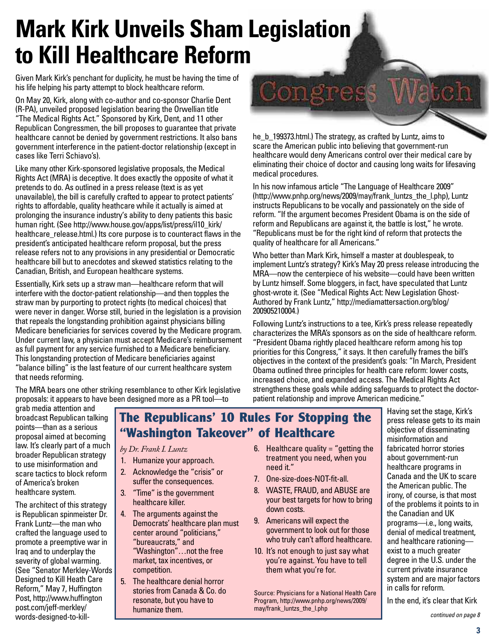# **Mark Kirk Unveils Sham Legislation to Kill Healthcare Reform**

Given Mark Kirk's penchant for duplicity, he must be having the time of his life helping his party attempt to block healthcare reform.

On May 20, Kirk, along with co-author and co-sponsor Charlie Dent (R-PA), unveiled proposed legislation bearing the Orwellian title "The Medical Rights Act." Sponsored by Kirk, Dent, and 11 other Republican Congressmen, the bill proposes to guarantee that private healthcare cannot be denied by government restrictions. It also bans government interference in the patient-doctor relationship (except in cases like Terri Schiavo's).

Like many other Kirk-sponsored legislative proposals, the Medical Rights Act (MRA) is deceptive. It does exactly the opposite of what it pretends to do. As outlined in a press release (text is as yet unavailable), the bill is carefully crafted to appear to protect patients' rights to affordable, quality heathcare while it actually is aimed at prolonging the insurance industry's ability to deny patients this basic human right. (See [http://www.house.gov/apps/list/press/il10\\_kirk/](http://www.house.gov/apps/list/press/il10_kirk) healthcare release.html.) Its core purpose is to counteract flaws in the president's anticipated healthcare reform proposal, but the press release refers not to any provisions in any presidential or Democratic healthcare bill but to anecdotes and skewed statistics relating to the Canadian, British, and European healthcare systems.

Essentially, Kirk sets up a straw man—healthcare reform that will interfere with the doctor-patient relationship—and then topples the straw man by purporting to protect rights (to medical choices) that were never in danger. Worse still, buried in the legislation is a provision that repeals the longstanding prohibition against physicians billing Medicare beneficiaries for services covered by the Medicare program. Under current law, a physician must accept Medicare's reimbursement as full payment for any service furnished to a Medicare beneficiary. This longstanding protection of Medicare beneficiaries against "balance billing" is the last feature of our current healthcare system that needs reforming.

The MRA bears one other striking resemblance to other Kirk legislative proposals: it appears to have been designed more as a PR tool—to

Jatch Congress he b 199373.html.) The strategy, as crafted by Luntz, aims to

scare the American public into believing that government-run healthcare would deny Americans control over their medical care by eliminating their choice of doctor and causing long waits for lifesaving medical procedures.

In his now infamous article "The Language of Healthcare 2009" [\(http://www.pnhp.org/news/2009/may/frank\\_luntzs\\_the\\_l.ph](http://www.pnhp.org/news/2009/may/frank_luntzs_the_l.php)p), Luntz instructs Republicans to be vocally and passionately on the side of reform. "If the argument becomes President Obama is on the side of reform and Republicans are against it, the battle is lost," he wrote. "Republicans must be for the right kind of reform that protects the quality of healthcare for all Americans."

Who better than Mark Kirk, himself a master at doublespeak, to implement Luntz's strategy? Kirk's May 20 press release introducing the MRA—now the centerpiece of his website—could have been written by Luntz himself. Some bloggers, in fact, have speculated that Luntz ghost-wrote it. (See "Medical Rights Act: New Legislation Ghost-Authored by Frank Luntz," [http://mediamattersaction.org/blog/](http://mediamattersaction.org/blog) 200905210004.)

Following Luntz's instructions to a tee, Kirk's press release repeatedly characterizes the MRA's sponsors as on the side of healthcare reform. "President Obama rightly placed healthcare reform among his top priorities for this Congress," it says. It then carefully frames the bill's objectives in the context of the president's goals: "In March, President Obama outlined three principles for health care reform: lower costs, increased choice, and expanded access. The Medical Rights Act strengthens these goals while adding safeguards to protect the doctorpatient relationship and improve American medicine."

grab media attention and broadcast Republican talking points—than as a serious proposal aimed at becoming law. It's clearly part of a much broader Republican strategy to use misinformation and scare tactics to block reform of America's broken healthcare system.

The architect of this strategy is Republican spinmeister Dr. Frank Luntz—the man who crafted the language used to promote a preemptive war in Iraq and to underplay the severity of global warming. (See "Senator Merkley-Words Designed to Kill Heath Care Reform," May 7, Huffington Post, <http://www.huffington> post.com/jeff-merkley/ words-designed-to-kill-

### **The Republicans' 10 Rules For Stopping the "Washington Takeover" of Healthcare**

#### *by Dr. Frank I. Luntz*

- 1. Humanize your approach.
- 2. Acknowledge the "crisis" or suffer the consequences.
- 3. "Time" is the government healthcare killer.
- 4. The arguments against the Democrats' healthcare plan must center around "politicians," "bureaucrats," and "Washington"…not the free market, tax incentives, or competition.
- 5. The healthcare denial horror stories from Canada & Co. do resonate, but you have to humanize them.
- 6. Healthcare quality  $=$  "getting the treatment you need, when you need it."
- 7. One-size-does-NOT-fit-all.
- 8. WASTE, FRAUD, and ABUSE are your best targets for how to bring down costs.
- 9. Americans will expect the government to look out for those who truly can't afford healthcare.
- 10. It's not enough to just say what you're against. You have to tell them what you're for.

Source: Physicians for a National Health Care Program, [http://www.pnhp.org/news/2009/](http://www.pnhp.org/news/2009) may/frank\_luntzs\_the\_l.php

Having set the stage, Kirk's press release gets to its main objective of disseminating misinformation and fabricated horror stories about government-run healthcare programs in Canada and the UK to scare the American public. The irony, of course, is that most of the problems it points to in the Canadian and UK programs—i.e., long waits, denial of medical treatment, and healthcare rationing exist to a much greater degree in the U.S. under the current private insurance system and are major factors in calls for reform.

In the end, it's clear that Kirk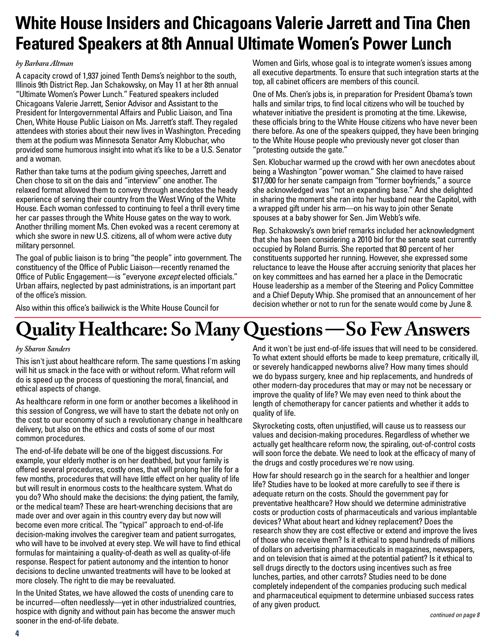## **White House Insiders and Chicagoans Valerie Jarrett and Tina Chen Featured Speakers at 8th Annual Ultimate Women's Power Lunch**

#### *by Barbara Altman*

A capacity crowd of 1,937 joined Tenth Dems's neighbor to the south, Illinois 9th District Rep. Jan Schakowsky, on May 11 at her 8th annual "Ultimate Women's Power Lunch." Featured speakers included Chicagoans Valerie Jarrett, Senior Advisor and Assistant to the President for Intergovernmental Affairs and Public Liaison, and Tina Chen, White House Public Liaison on Ms. Jarrett's staff. They regaled attendees with stories about their new lives in Washington. Preceding them at the podium was Minnesota Senator Amy Klobuchar, who provided some humorous insight into what it's like to be a U.S. Senator and a woman.

Rather than take turns at the podium giving speeches, Jarrett and Chen chose to sit on the dais and "interview" one another. The relaxed format allowed them to convey through anecdotes the heady experience of serving their country from the West Wing of the White House. Each woman confessed to continuing to feel a thrill every time her car passes through the White House gates on the way to work. Another thrilling moment Ms. Chen evoked was a recent ceremony at which she swore in new U.S. citizens, all of whom were active duty military personnel.

The goal of public liaison is to bring "the people" into government. The constituency of the Office of Public Liaison—recently renamed the Office of Public Engagement—is "everyone *except* elected officials." Urban affairs, neglected by past administrations, is an important part of the office's mission.

Women and Girls, whose goal is to integrate women's issues among all executive departments. To ensure that such integration starts at the top, all cabinet officers are members of this council.

One of Ms. Chen's jobs is, in preparation for President Obama's town halls and similar trips, to find local citizens who will be touched by whatever initiative the president is promoting at the time. Likewise, these officials bring to the White House citizens who have never been there before. As one of the speakers quipped, they have been bringing to the White House people who previously never got closer than "protesting outside the gate."

Sen. Klobuchar warmed up the crowd with her own anecdotes about being a Washington "power woman." She claimed to have raised \$17,000 for her senate campaign from "former boyfriends," a source she acknowledged was "not an expanding base." And she delighted in sharing the moment she ran into her husband near the Capitol, with a wrapped gift under his arm—on his way to join other Senate spouses at a baby shower for Sen. Jim Webb's wife.

Rep. Schakowsky's own brief remarks included her acknowledgment that she has been considering a 2010 bid for the senate seat currently occupied by Roland Burris. She reported that 80 percent of her constituents supported her running. However, she expressed some reluctance to leave the House after accruing seniority that places her on key committees and has earned her a place in the Democratic House leadership as a member of the Steering and Policy Committee and a Chief Deputy Whip. She promised that an announcement of her decision whether or not to run for the senate would come by June 8.

Also within this office's bailiwick is the White House Council for

# **Quality Healthcare: So Many Questions —So Few Answers**

#### *by Sharon Sanders*

This isn't just about healthcare reform. The same questions I'm asking will hit us smack in the face with or without reform. What reform will do is speed up the process of questioning the moral, financial, and ethical aspects of change.

As healthcare reform in one form or another becomes a likelihood in this session of Congress, we will have to start the debate not only on the cost to our economy of such a revolutionary change in healthcare delivery, but also on the ethics and costs of some of our most common procedures.

The end-of-life debate will be one of the biggest discussions. For example, your elderly mother is on her deathbed, but your family is offered several procedures, costly ones, that will prolong her life for a few months, procedures that will have little effect on her quality of life but will result in enormous costs to the healthcare system. What do you do? Who should make the decisions: the dying patient, the family, or the medical team? These are heart-wrenching decisions that are made over and over again in this country every day but now will become even more critical. The "typical" approach to end-of-life decision-making involves the caregiver team and patient surrogates, who will have to be involved at every step. We will have to find ethical formulas for maintaining a quality-of-death as well as quality-of-life response. Respect for patient autonomy and the intention to honor decisions to decline unwanted treatments will have to be looked at more closely. The right to die may be reevaluated.

In the United States, we have allowed the costs of unending care to be incurred—often needlessly—yet in other industrialized countries, hospice with dignity and without pain has become the answer much sooner in the end-of-life debate.

And it won't be just end-of-life issues that will need to be considered. To what extent should efforts be made to keep premature, critically ill, or severely handicapped newborns alive? How many times should we do bypass surgery, knee and hip replacements, and hundreds of other modern-day procedures that may or may not be necessary or improve the quality of life? We may even need to think about the length of chemotherapy for cancer patients and whether it adds to quality of life.

Skyrocketing costs, often unjustified, will cause us to reassess our values and decision-making procedures. Regardless of whether we actually get healthcare reform now, the spiraling, out-of-control costs will soon force the debate. We need to look at the efficacy of many of the drugs and costly procedures we're now using.

How far should research go in the search for a healthier and longer life? Studies have to be looked at more carefully to see if there is adequate return on the costs. Should the government pay for preventative healthcare? How should we determine administrative costs or production costs of pharmaceuticals and various implantable devices? What about heart and kidney replacement? Does the research show they are cost effective or extend and improve the lives of those who receive them? Is it ethical to spend hundreds of millions of dollars on advertising pharmaceuticals in magazines, newspapers, and on television that is aimed at the potential patient? Is it ethical to sell drugs directly to the doctors using incentives such as free lunches, parties, and other carrots? Studies need to be done completely independent of the companies producing such medical and pharmaceutical equipment to determine unbiased success rates of any given product.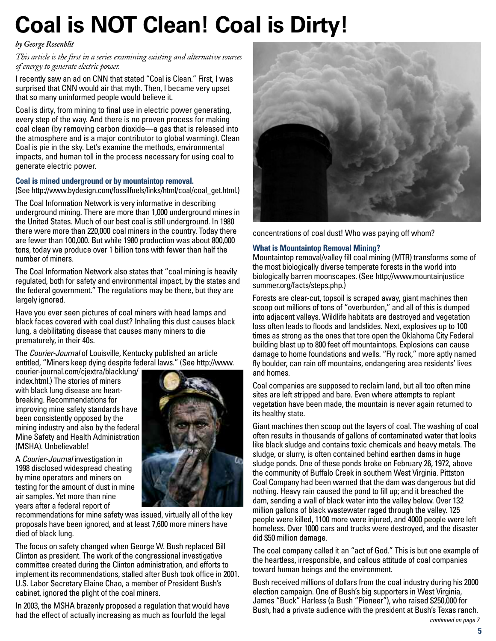# **Coal is NOT Clean! Coal is Dirty!**

#### *by George Rosenblit*

*This article is the first in a series examining existing and alternative sources of energy to generate electric power.*

I recently saw an ad on CNN that stated "Coal is Clean." First, I was surprised that CNN would air that myth. Then, I became very upset that so many uninformed people would believe it.

Coal is dirty, from mining to final use in electric power generating, every step of the way. And there is no proven process for making coal clean (by removing carbon dioxide—a gas that is released into the atmosphere and is a major contributor to global warming). Clean Coal is pie in the sky. Let's examine the methods, environmental impacts, and human toll in the process necessary for using coal to generate electric power.

#### **Coal is mined underground or by mountaintop removal.**

(See [http://www.bydesign.com/fossilfuels/links/html/coal/coal\\_get.htm](http://www.bydesign.com/fossilfuels/links/html/coal/coal_get.html)l.)

The Coal Information Network is very informative in describing underground mining. There are more than 1,000 underground mines in the United States. Much of our best coal is still underground. In 1980 there were more than 220,000 coal miners in the country. Today there are fewer than 100,000. But while 1980 production was about 800,000 tons, today we produce over 1 billion tons with fewer than half the number of miners.

The Coal Information Network also states that "coal mining is heavily regulated, both for safety and environmental impact, by the states and the federal government." The regulations may be there, but they are largely ignored.

Have you ever seen pictures of coal miners with head lamps and black faces covered with coal dust? Inhaling this dust causes black lung, a debilitating disease that causes many miners to die prematurely, in their 40s.

The *Courier-Journal* of Louisville, Kentucky published an article entitled, "Miners keep dying despite federal laws." (See [http://www.](http://www)

courier-journal.com/cjextra/blacklung/ index.html.) The stories of miners with black lung disease are heartbreaking. Recommendations for improving mine safety standards have been consistently opposed by the mining industry and also by the federal Mine Safety and Health Administration (MSHA). Unbelievable!

A *Courier-Journal* investigation in 1998 disclosed widespread cheating by mine operators and miners on testing for the amount of dust in mine air samples. Yet more than nine years after a federal report of



recommendations for mine safety was issued, virtually all of the key proposals have been ignored, and at least 7,600 more miners have died of black lung.

The focus on safety changed when George W. Bush replaced Bill Clinton as president. The work of the congressional investigative committee created during the Clinton administration, and efforts to implement its recommendations, stalled after Bush took office in 2001. U.S. Labor Secretary Elaine Chao, a member of President Bush's cabinet, ignored the plight of the coal miners.

In 2003, the MSHA brazenly proposed a regulation that would have had the effect of actually increasing as much as fourfold the legal



concentrations of coal dust! Who was paying off whom?

#### **What is Mountaintop Removal Mining?**

Mountaintop removal/valley fill coal mining (MTR) transforms some of the most biologically diverse temperate forests in the world into biologically barren moonscapes. (See <http://www.mountainjustice> summer.org/facts/steps.php.)

Forests are clear-cut, topsoil is scraped away, giant machines then scoop out millions of tons of "overburden," and all of this is dumped into adjacent valleys. Wildlife habitats are destroyed and vegetation loss often leads to floods and landslides. Next, explosives up to 100 times as strong as the ones that tore open the Oklahoma City Federal building blast up to 800 feet off mountaintops. Explosions can cause damage to home foundations and wells. "Fly rock," more aptly named fly boulder, can rain off mountains, endangering area residents' lives and homes.

Coal companies are supposed to reclaim land, but all too often mine sites are left stripped and bare. Even where attempts to replant vegetation have been made, the mountain is never again returned to its healthy state.

Giant machines then scoop out the layers of coal. The washing of coal often results in thousands of gallons of contaminated water that looks like black sludge and contains toxic chemicals and heavy metals. The sludge, or slurry, is often contained behind earthen dams in huge sludge ponds. One of these ponds broke on February 26, 1972, above the community of Buffalo Creek in southern West Virginia. Pittston Coal Company had been warned that the dam was dangerous but did nothing. Heavy rain caused the pond to fill up; and it breached the dam, sending a wall of black water into the valley below. Over 132 million gallons of black wastewater raged through the valley. 125 people were killed, 1100 more were injured, and 4000 people were left homeless. Over 1000 cars and trucks were destroyed, and the disaster did \$50 million damage.

The coal company called it an "act of God." This is but one example of the heartless, irresponsible, and callous attitude of coal companies toward human beings and the environment.

Bush received millions of dollars from the coal industry during his 2000 election campaign. One of Bush's big supporters in West Virginia, James "Buck" Harless (a Bush "Pioneer"), who raised \$250,000 for Bush, had a private audience with the president at Bush's Texas ranch. *continued on page 7*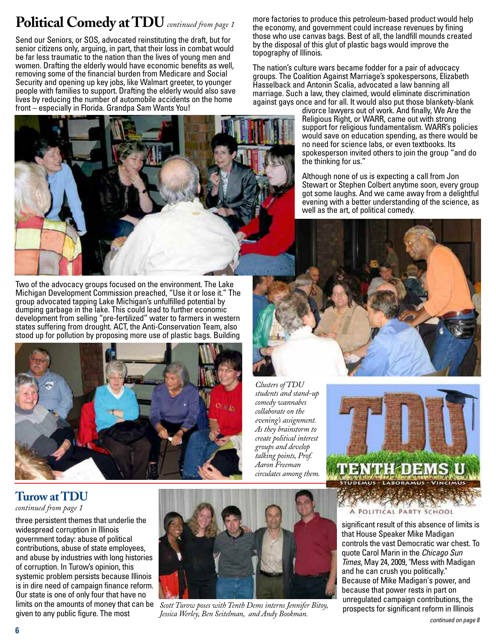## **Political Comedy at TDU** *continued from page 1*

Send our Seniors, or SOS, advocated reinstituting the draft, but for senior citizens only, arguing, in part, that their loss in combat would be far less traumatic to the nation than the lives of young men and women. Drafting the elderly would have economic benefits as well, removing some of the financial burden from Medicare and Social Security and opening up key jobs, like Walmart greeter, to younger people with families to support. Drafting the elderly would also save lives by reducing the number of automobile accidents on the home front – especially in Florida. Grandpa Sam Wants You!



Two of the advocacy groups focused on the environment. The Lake Michigan Development Commission preached, "Use it or lose it." The group advocated tapping Lake Michigan's unfulfilled potential by dumping garbage in the lake. This could lead to further economic development from selling "pre-fertilized" water to farmers in western states suffering from drought. ACT, the Anti-Conservation Team, also stood up for pollution by proposing more use of plastic bags. Building



*students and stand-up comedy wannabes collaborate on the evening's assignment. As they brainstorm to create political interest groups and develop talking points, Prof. Aaron Freeman circulates among them.*

**Turow at TDU** 

#### *continued from page 1*

three persistent themes that underlie the widespread corruption in Illinois government today: abuse of political contributions, abuse of state employees, and abuse by industries with long histories of corruption. In Turow's opinion, this systemic problem persists because Illinois is in dire need of campaign finance reform. Our state is one of only four that have no given to any public figure. The most



limits on the amounts of money that can be *Scott Turow poses with Tenth Dems interns Jennifer Bitoy, Jessica Werley, Ben Seitelman, and Andy Bookman. continued on page 8*

more factories to produce this petroleum-based product would help the economy, and government could increase revenues by fining those who use canvas bags. Best of all, the landfill mounds created by the disposal of this glut of plastic bags would improve the topography of Illinois.

The nation's culture wars became fodder for a pair of advocacy groups. The Coalition Against Marriage's spokespersons, Elizabeth Hasselback and Antonin Scalia, advocated a law banning all marriage. Such a law, they claimed, would eliminate discrimination against gays once and for all. It would also put those blankety-blank

> divorce lawyers out of work. And finally, We Are the Religious Right, or WARR, came out with strong support for religious fundamentalism. WARR's policies would save on education spending, as there would be no need for science labs, or even textbooks. Its spokesperson invited others to join the group "and do the thinking for us."

> Although none of us is expecting a call from Jon Stewart or Stephen Colbert anytime soon, every group got some laughs. And we came away from a delightful evening with a better understanding of the science, as well as the art, of political comedy.





A POLITICAL PARTY SCHOOL

significant result of this absence of limits is that House Speaker Mike Madigan controls the vast Democratic war chest. To quote Carol Marin in the *Chicago Sun Times*, May 24, 2009, "Mess with Madigan and he can crush you politically." Because of Mike Madigan's power, and because that power rests in part on unregulated campaign contributions, the prospects for significant reform in Illinois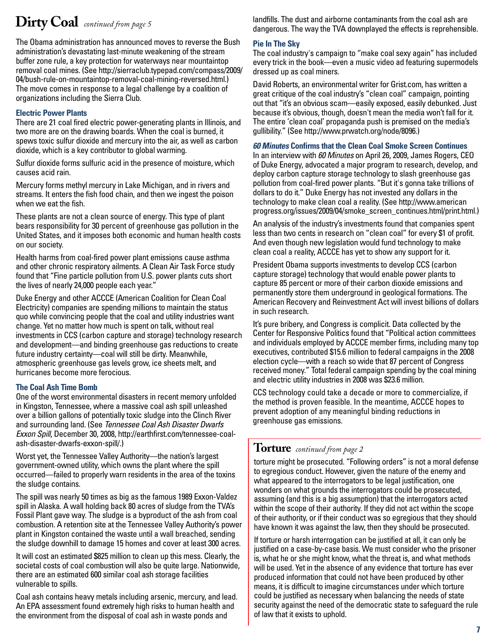## **Dirty Coal** *continued from page 5*

The Obama administration has announced moves to reverse the Bush administration's devastating last-minute weakening of the stream buffer zone rule, a key protection for waterways near mountaintop removal coal mines. (See [http://sierraclub.typepad.com/compass/2009/](http://sierraclub.typepad.com/compass/2009) 04/bush-rule-on-mountaintop-removal-coal-mining-reversed.html.) The move comes in response to a legal challenge by a coalition of organizations including the Sierra Club.

#### **Electric Power Plants**

There are 21 coal fired electric power-generating plants in Illinois, and two more are on the drawing boards. When the coal is burned, it spews toxic sulfur dioxide and mercury into the air, as well as carbon dioxide, which is a key contributor to global warming.

Sulfur dioxide forms sulfuric acid in the presence of moisture, which causes acid rain.

Mercury forms methyl mercury in Lake Michigan, and in rivers and streams. It enters the fish food chain, and then we ingest the poison when we eat the fish.

These plants are not a clean source of energy. This type of plant bears responsibility for 30 percent of greenhouse gas pollution in the United States, and it imposes both economic and human health costs on our society.

Health harms from coal-fired power plant emissions cause asthma and other chronic respiratory ailments. A Clean Air Task Force study found that "Fine particle pollution from U.S. power plants cuts short the lives of nearly 24,000 people each year."

Duke Energy and other ACCCE (American Coalition for Clean Coal Electricity) companies are spending millions to maintain the status quo while convincing people that the coal and utility industries want change. Yet no matter how much is spent on talk, without real investments in CCS (carbon capture and storage) technology research and development—and binding greenhouse gas reductions to create future industry certainty—coal will still be dirty. Meanwhile, atmospheric greenhouse gas levels grow, ice sheets melt, and hurricanes become more ferocious.

#### **The Coal Ash Time Bomb**

One of the worst environmental disasters in recent memory unfolded in Kingston, Tennessee, where a massive coal ash spill unleashed over a billion gallons of potentially toxic sludge into the Clinch River and surrounding land. (See *Tennessee Coal Ash Disaster Dwarfs Exxon Spill*, [December 30, 2008, http://earthfirst.com/tennessee-coal](http://earthfirst.com/tennessee-coal-ash-disaster-dwarfs-exxon-spill)ash[-disaster-dwarfs-exxon-spill/.\)](http://earthfirst.com/tennessee-coal-ash-disaster-dwarfs-exxon-spill)

Worst yet, the Tennessee Valley Authority—the nation's largest government-owned utility, which owns the plant where the spill occurred—failed to properly warn residents in the area of the toxins the sludge contains.

The spill was nearly 50 times as big as the famous 1989 Exxon-Valdez spill in Alaska. A wall holding back 80 acres of sludge from the TVA's Fossil Plant gave way. The sludge is a byproduct of the ash from coal combustion. A retention site at the Tennessee Valley Authority's power plant in Kingston contained the waste until a wall breached, sending the sludge downhill to damage 15 homes and cover at least 300 acres.

It will cost an estimated \$825 million to clean up this mess. Clearly, the societal costs of coal combustion will also be quite large. Nationwide, there are an estimated 600 similar coal ash storage facilities vulnerable to spills.

Coal ash contains heavy metals including arsenic, mercury, and lead. An EPA assessment found extremely high risks to human health and the environment from the disposal of coal ash in waste ponds and

landfills. The dust and airborne contaminants from the coal ash are dangerous. The way the TVA downplayed the effects is reprehensible.

#### **Pie In The Sky**

The coal industry's campaign to "make coal sexy again" has included every trick in the book—even a music video ad featuring supermodels dressed up as coal miners.

David Roberts, an environmental writer for Grist.com, has written a great critique of the coal industry's "clean coal" campaign, pointing out that "it's an obvious scam—easily exposed, easily debunked. Just because it's obvious, though, doesn't mean the media won't fall for it. The entire 'clean coal' propaganda push is premised on the media's gullibility." (See [http://www.prwatch.org/node/8096.\)](http://www.prwatch.org/node/8096)

#### *60 Minutes* **Confirms that the Clean Coal Smoke Screen Continues**

In an interview with *60 Minutes* on April 26, 2009, James Rogers, CEO of Duke Energy, advocated a major program to research, develop, and deploy carbon capture storage technology to slash greenhouse gas pollution from coal-fired power plants. "But it's gonna take trillions of dollars to do it." Duke Energy has not invested any dollars in the technology to make clean coal a reality. (See<http://www.american> progress.org/issues/2009/04/smoke\_screen\_continues.html/print.html.)

An analysis of the industry's investments found that companies spent less than two cents in research on "clean coal" for every \$1 of profit. And even though new legislation would fund technology to make clean coal a reality, ACCCE has yet to show any support for it.

President Obama supports investments to develop CCS (carbon capture storage) technology that would enable power plants to capture 85 percent or more of their carbon dioxide emissions and permanently store them underground in geological formations. The American Recovery and Reinvestment Act will invest billions of dollars in such research.

It's pure bribery, and Congress is complicit. Data collected by the Center for Responsive Politics found that "Political action committees and individuals employed by ACCCE member firms, including many top executives, contributed \$15.6 million to federal campaigns in the 2008 election cycle—with a reach so wide that 87 percent of Congress received money." Total federal campaign spending by the coal mining and electric utility industries in 2008 was \$23.6 million.

CCS technology could take a decade or more to commercialize, if the method is proven feasible. In the meantime, ACCCE hopes to prevent adoption of any meaningful binding reductions in greenhouse gas emissions.

### **Torture** *continued from page 2*

torture might be prosecuted. "Following orders" is not a moral defense to egregious conduct. However, given the nature of the enemy and what appeared to the interrogators to be legal justification, one wonders on what grounds the interrogators could be prosecuted, assuming (and this is a big assumption) that the interrogators acted within the scope of their authority. If they did not act within the scope of their authority, or if their conduct was so egregious that they should have known it was against the law, then they should be prosecuted.

If torture or harsh interrogation can be justified at all, it can only be justified on a case-by-case basis. We must consider who the prisoner is, what he or she might know, what the threat is, and what methods will be used. Yet in the absence of any evidence that torture has ever produced information that could not have been produced by other means, it is difficult to imagine circumstances under which torture could be justified as necessary when balancing the needs of state security against the need of the democratic state to safeguard the rule of law that it exists to uphold.